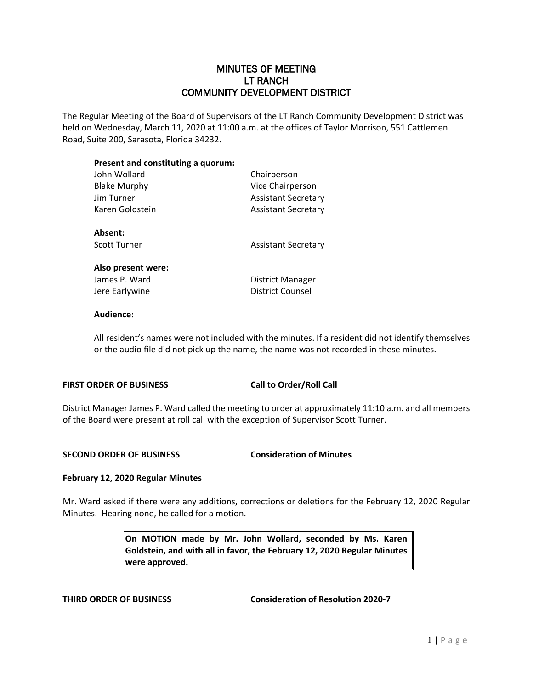## MINUTES OF MEETING LT RANCH COMMUNITY DEVELOPMENT DISTRICT

The Regular Meeting of the Board of Supervisors of the LT Ranch Community Development District was held on Wednesday, March 11, 2020 at 11:00 a.m. at the offices of Taylor Morrison, 551 Cattlemen Road, Suite 200, Sarasota, Florida 34232.

## **Present and constituting a quorum:**

| John Wollard        | Chairperson                |
|---------------------|----------------------------|
| <b>Blake Murphy</b> | Vice Chairperson           |
| Jim Turner          | <b>Assistant Secretary</b> |
| Karen Goldstein     | <b>Assistant Secretary</b> |
| Absent:             |                            |
| Scott Turner        | <b>Assistant Secretary</b> |
| Also present were:  |                            |
| James P. Ward       | District Manager           |
| Jere Earlywine      | District Counsel           |
|                     |                            |

## **Audience:**

All resident's names were not included with the minutes. If a resident did not identify themselves or the audio file did not pick up the name, the name was not recorded in these minutes.

## **FIRST ORDER OF BUSINESS Call to Order/Roll Call**

District Manager James P. Ward called the meeting to order at approximately 11:10 a.m. and all members of the Board were present at roll call with the exception of Supervisor Scott Turner.

## **SECOND ORDER OF BUSINESS Consideration of Minutes**

## **February 12, 2020 Regular Minutes**

Mr. Ward asked if there were any additions, corrections or deletions for the February 12, 2020 Regular Minutes. Hearing none, he called for a motion.

> **On MOTION made by Mr. John Wollard, seconded by Ms. Karen Goldstein, and with all in favor, the February 12, 2020 Regular Minutes were approved.**

**THIRD ORDER OF BUSINESS Consideration of Resolution 2020-7**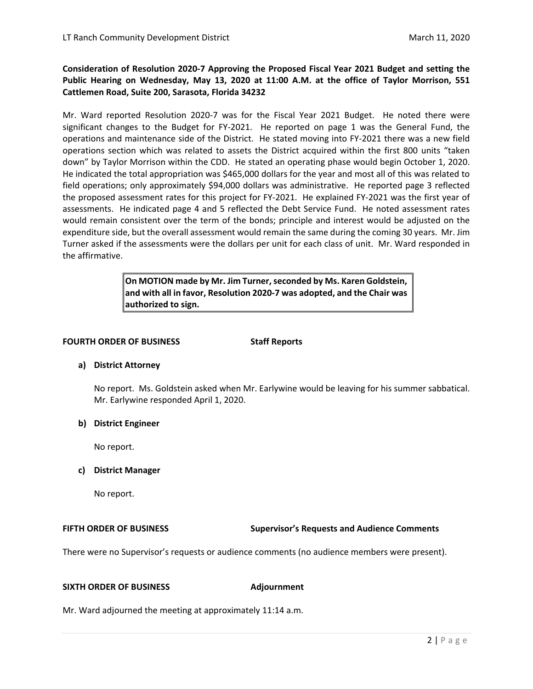## **Consideration of Resolution 2020-7 Approving the Proposed Fiscal Year 2021 Budget and setting the Public Hearing on Wednesday, May 13, 2020 at 11:00 A.M. at the office of Taylor Morrison, 551 Cattlemen Road, Suite 200, Sarasota, Florida 34232**

Mr. Ward reported Resolution 2020-7 was for the Fiscal Year 2021 Budget. He noted there were significant changes to the Budget for FY-2021. He reported on page 1 was the General Fund, the operations and maintenance side of the District. He stated moving into FY-2021 there was a new field operations section which was related to assets the District acquired within the first 800 units "taken down" by Taylor Morrison within the CDD. He stated an operating phase would begin October 1, 2020. He indicated the total appropriation was \$465,000 dollars for the year and most all of this was related to field operations; only approximately \$94,000 dollars was administrative. He reported page 3 reflected the proposed assessment rates for this project for FY-2021. He explained FY-2021 was the first year of assessments. He indicated page 4 and 5 reflected the Debt Service Fund. He noted assessment rates would remain consistent over the term of the bonds; principle and interest would be adjusted on the expenditure side, but the overall assessment would remain the same during the coming 30 years. Mr. Jim Turner asked if the assessments were the dollars per unit for each class of unit. Mr. Ward responded in the affirmative.

> **On MOTION made by Mr. Jim Turner, seconded by Ms. Karen Goldstein, and with all in favor, Resolution 2020-7 was adopted, and the Chair was authorized to sign.**

### **FOURTH ORDER OF BUSINESS Staff Reports**

## **a) District Attorney**

No report. Ms. Goldstein asked when Mr. Earlywine would be leaving for his summer sabbatical. Mr. Earlywine responded April 1, 2020.

## **b) District Engineer**

No report.

## **c) District Manager**

No report.

**FIFTH ORDER OF BUSINESS Supervisor's Requests and Audience Comments**

There were no Supervisor's requests or audience comments (no audience members were present).

## **SIXTH ORDER OF BUSINESS Adjournment**

Mr. Ward adjourned the meeting at approximately 11:14 a.m.